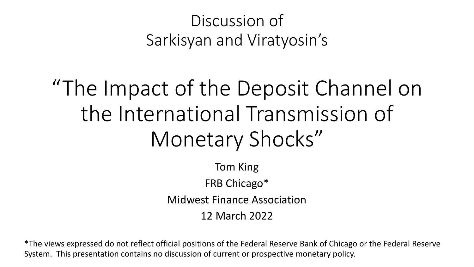#### Discussion of Sarkisyan and Viratyosin's

# "The Impact of the Deposit Channel on the International Transmission of Monetary Shocks"

Tom King FRB Chicago\* Midwest Finance Association 12 March 2022

\*The views expressed do not reflect official positions of the Federal Reserve Bank of Chicago or the Federal Reserve System. This presentation contains no discussion of current or prospective monetary policy.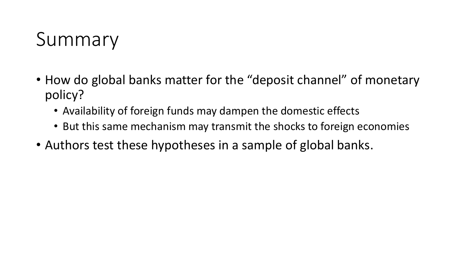### Summary

- How do global banks matter for the "deposit channel" of monetary policy?
	- Availability of foreign funds may dampen the domestic effects
	- But this same mechanism may transmit the shocks to foreign economies
- Authors test these hypotheses in a sample of global banks.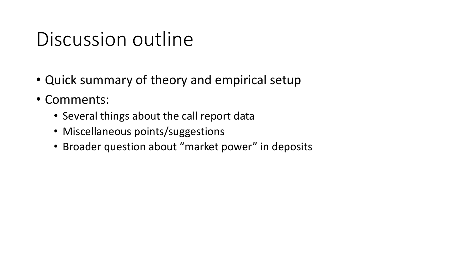### Discussion outline

- Quick summary of theory and empirical setup
- Comments:
	- Several things about the call report data
	- Miscellaneous points/suggestions
	- Broader question about "market power" in deposits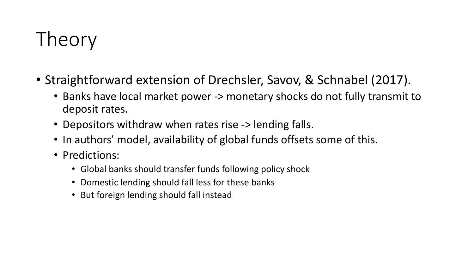# Theory

- Straightforward extension of Drechsler, Savov, & Schnabel (2017).
	- Banks have local market power -> monetary shocks do not fully transmit to deposit rates.
	- Depositors withdraw when rates rise -> lending falls.
	- In authors' model, availability of global funds offsets some of this.
	- Predictions:
		- Global banks should transfer funds following policy shock
		- Domestic lending should fall less for these banks
		- But foreign lending should fall instead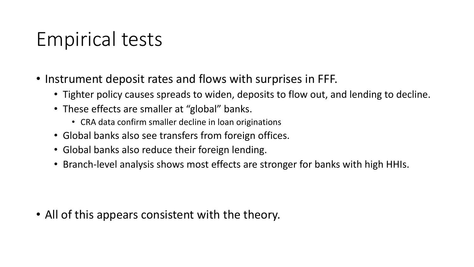## Empirical tests

- Instrument deposit rates and flows with surprises in FFF.
	- Tighter policy causes spreads to widen, deposits to flow out, and lending to decline.
	- These effects are smaller at "global" banks.
		- CRA data confirm smaller decline in loan originations
	- Global banks also see transfers from foreign offices.
	- Global banks also reduce their foreign lending.
	- Branch-level analysis shows most effects are stronger for banks with high HHIs.

• All of this appears consistent with the theory.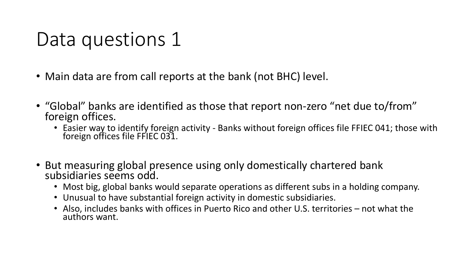### Data questions 1

- Main data are from call reports at the bank (not BHC) level.
- "Global" banks are identified as those that report non-zero "net due to/from" foreign offices.
	- Easier way to identify foreign activity Banks without foreign offices file FFIEC 041; those with foreign offices file FFIEC 031.
- But measuring global presence using only domestically chartered bank subsidiaries seems odd.
	- Most big, global banks would separate operations as different subs in a holding company.
	- Unusual to have substantial foreign activity in domestic subsidiaries.
	- Also, includes banks with offices in Puerto Rico and other U.S. territories not what the authors want.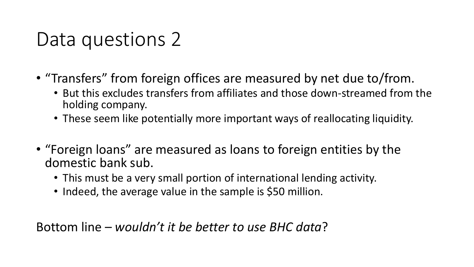### Data questions 2

- "Transfers" from foreign offices are measured by net due to/from.
	- But this excludes transfers from affiliates and those down-streamed from the holding company.
	- These seem like potentially more important ways of reallocating liquidity.
- "Foreign loans" are measured as loans to foreign entities by the domestic bank sub.
	- This must be a very small portion of international lending activity.
	- Indeed, the average value in the sample is \$50 million.

Bottom line – *wouldn't it be better to use BHC data*?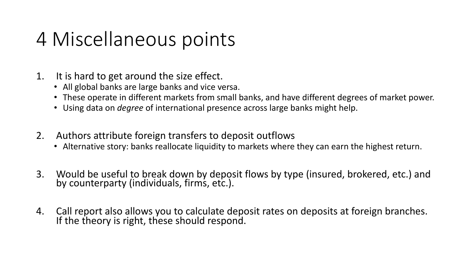### 4 Miscellaneous points

- 1. It is hard to get around the size effect.
	- All global banks are large banks and vice versa.
	- These operate in different markets from small banks, and have different degrees of market power.
	- Using data on *degree* of international presence across large banks might help.
- 2. Authors attribute foreign transfers to deposit outflows
	- Alternative story: banks reallocate liquidity to markets where they can earn the highest return.
- 3. Would be useful to break down by deposit flows by type (insured, brokered, etc.) and by counterparty (individuals, firms, etc.).
- 4. Call report also allows you to calculate deposit rates on deposits at foreign branches. If the theory is right, these should respond.